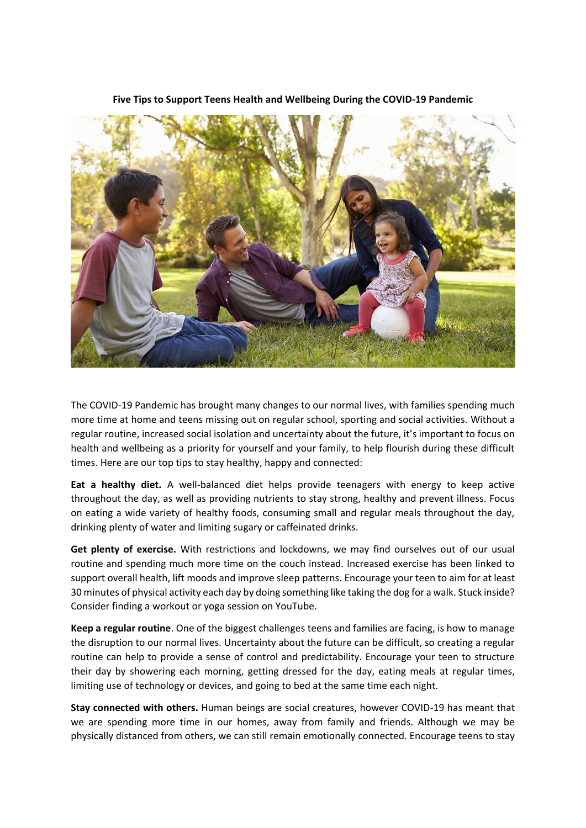

**Five Tips to Support Teens Health and Wellbeing During the COVID-19 Pandemic**

The COVID-19 Pandemic has brought many changes to our normal lives, with families spending much more time at home and teens missing out on regular school, sporting and social activities. Without a regular routine, increased social isolation and uncertainty about the future, it's important to focus on health and wellbeing as a priority for yourself and your family, to help flourish during these difficult times. Here are our top tips to stay healthy, happy and connected:

**Eat a healthy diet.** A well-balanced diet helps provide teenagers with energy to keep active throughout the day, as well as providing nutrients to stay strong, healthy and prevent illness. Focus on eating a wide variety of healthy foods, consuming small and regular meals throughout the day, drinking plenty of water and limiting sugary or caffeinated drinks.

**Get plenty of exercise.** With restrictions and lockdowns, we may find ourselves out of our usual routine and spending much more time on the couch instead. Increased exercise has been linked to support overall health, lift moods and improve sleep patterns. Encourage your teen to aim for at least 30 minutes of physical activity each day by doing something like taking the dog for a walk. Stuck inside? Consider finding a workout or yoga session on YouTube.

**Keep a regular routine**. One of the biggest challenges teens and families are facing, is how to manage the disruption to our normal lives. Uncertainty about the future can be difficult, so creating a regular routine can help to provide a sense of control and predictability. Encourage your teen to structure their day by showering each morning, getting dressed for the day, eating meals at regular times, limiting use of technology or devices, and going to bed at the same time each night.

**Stay connected with others.** Human beings are social creatures, however COVID-19 has meant that we are spending more time in our homes, away from family and friends. Although we may be physically distanced from others, we can still remain emotionally connected. Encourage teens to stay